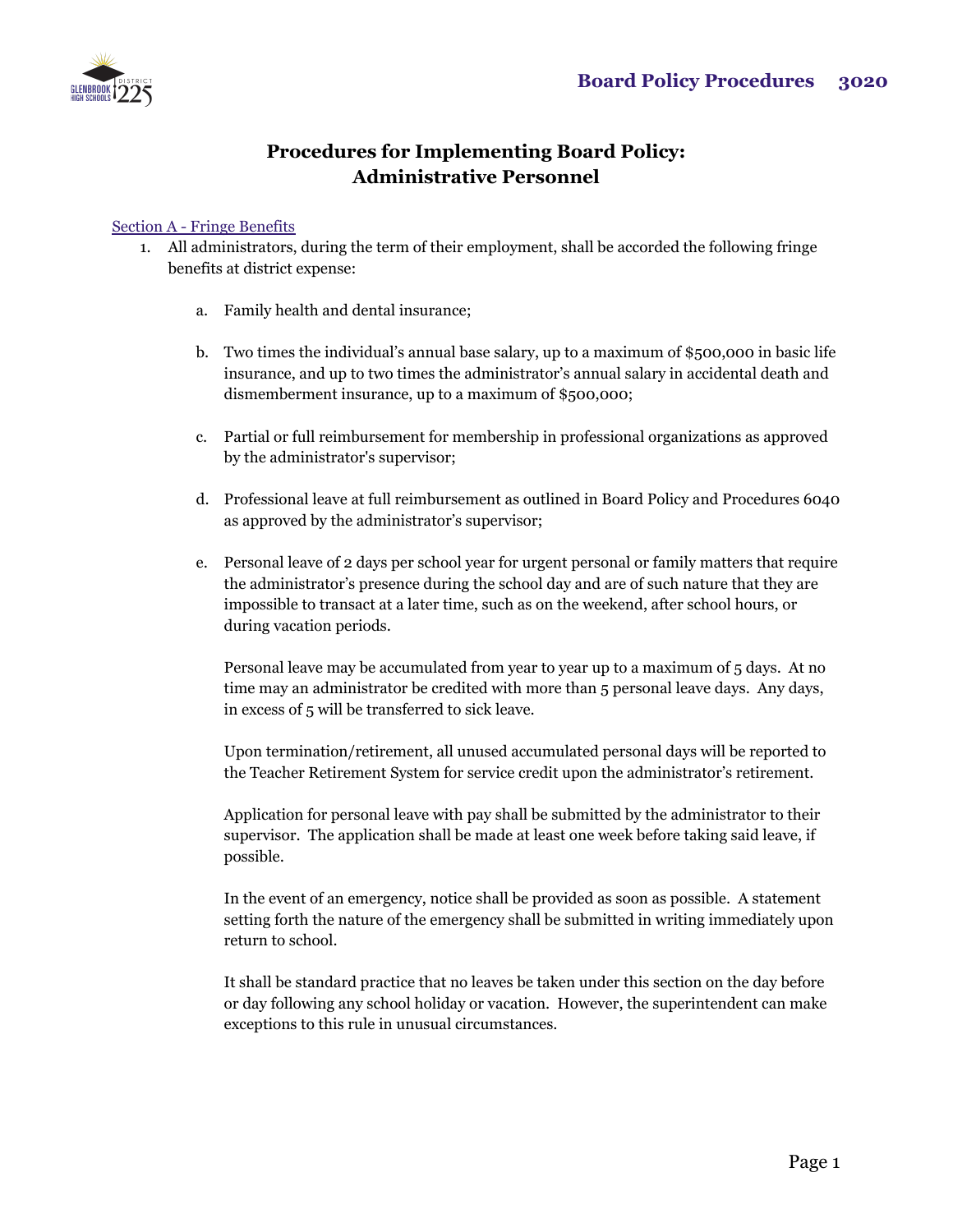

## **Procedures for Implementing Board Policy: Administrative Personnel**

## Section A - Fringe Benefits

- 1. All administrators, during the term of their employment, shall be accorded the following fringe benefits at district expense:
	- a. Family health and dental insurance;
	- b. Two times the individual's annual base salary, up to a maximum of \$500,000 in basic life insurance, and up to two times the administrator's annual salary in accidental death and dismemberment insurance, up to a maximum of \$500,000;
	- c. Partial or full reimbursement for membership in professional organizations as approved by the administrator's supervisor;
	- d. Professional leave at full reimbursement as outlined in Board Policy and Procedures 6040 as approved by the administrator's supervisor;
	- e. Personal leave of 2 days per school year for urgent personal or family matters that require the administrator's presence during the school day and are of such nature that they are impossible to transact at a later time, such as on the weekend, after school hours, or during vacation periods.

Personal leave may be accumulated from year to year up to a maximum of 5 days. At no time may an administrator be credited with more than 5 personal leave days. Any days, in excess of 5 will be transferred to sick leave.

Upon termination/retirement, all unused accumulated personal days will be reported to the Teacher Retirement System for service credit upon the administrator's retirement.

Application for personal leave with pay shall be submitted by the administrator to their supervisor. The application shall be made at least one week before taking said leave, if possible.

In the event of an emergency, notice shall be provided as soon as possible. A statement setting forth the nature of the emergency shall be submitted in writing immediately upon return to school.

It shall be standard practice that no leaves be taken under this section on the day before or day following any school holiday or vacation. However, the superintendent can make exceptions to this rule in unusual circumstances.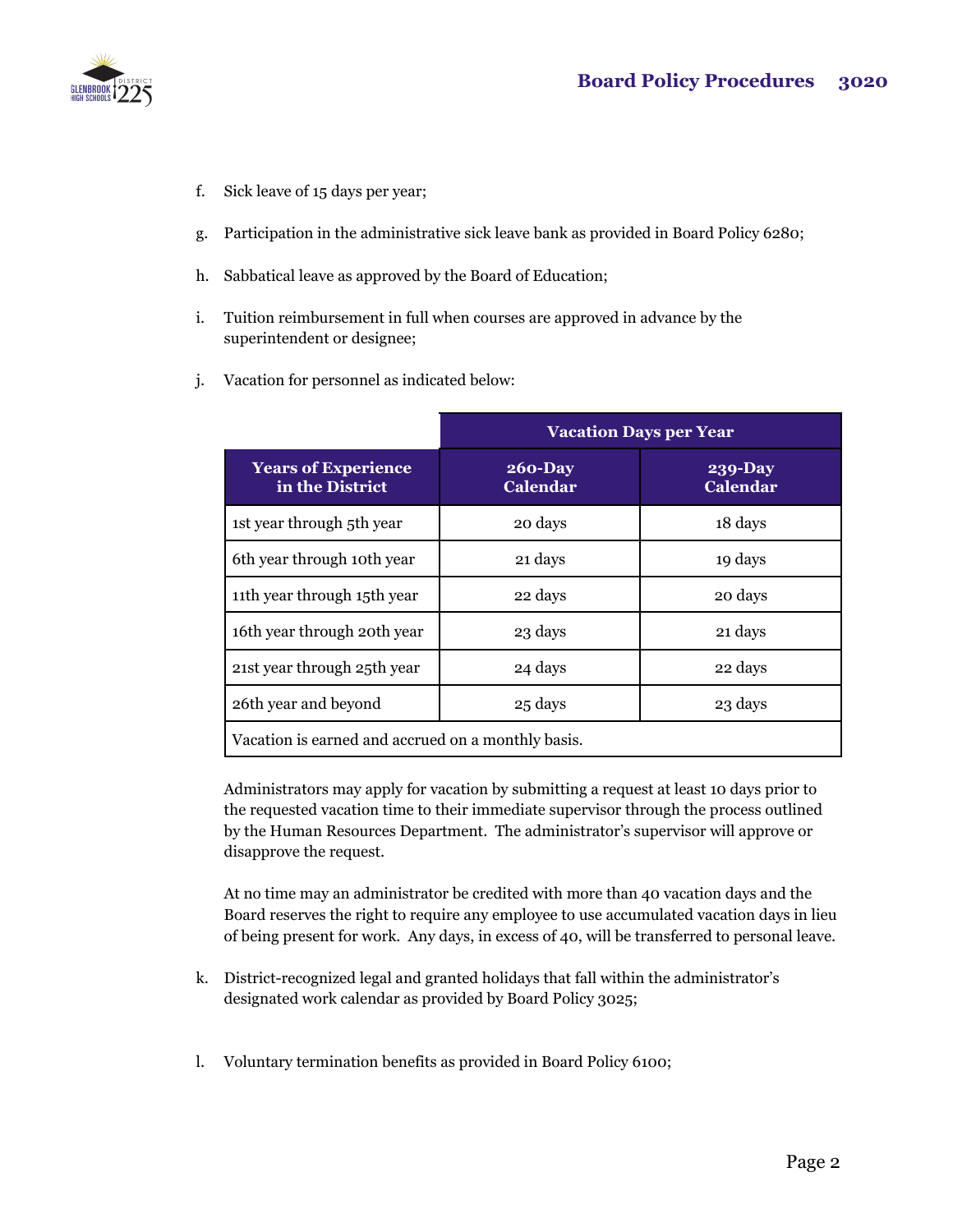

- f. Sick leave of 15 days per year;
- g. Participation in the administrative sick leave bank as provided in Board Policy 6280;
- h. Sabbatical leave as approved by the Board of Education;
- i. Tuition reimbursement in full when courses are approved in advance by the superintendent or designee;
- j. Vacation for personnel as indicated below:

|                                                    | <b>Vacation Days per Year</b>  |                                   |
|----------------------------------------------------|--------------------------------|-----------------------------------|
| <b>Years of Experience</b><br>in the District      | $260 - Day$<br><b>Calendar</b> | <b>239-Day</b><br><b>Calendar</b> |
| 1st year through 5th year                          | 20 days                        | 18 days                           |
| 6th year through 10th year                         | 21 days                        | 19 days                           |
| 11th year through 15th year                        | 22 days                        | 20 days                           |
| 16th year through 20th year                        | 23 days                        | 21 days                           |
| 21st year through 25th year                        | 24 days                        | 22 days                           |
| 26th year and beyond                               | 25 days                        | 23 days                           |
| Vacation is earned and accrued on a monthly basis. |                                |                                   |

Administrators may apply for vacation by submitting a request at least 10 days prior to the requested vacation time to their immediate supervisor through the process outlined by the Human Resources Department. The administrator's supervisor will approve or disapprove the request.

At no time may an administrator be credited with more than 40 vacation days and the Board reserves the right to require any employee to use accumulated vacation days in lieu of being present for work. Any days, in excess of 40, will be transferred to personal leave.

- k. District-recognized legal and granted holidays that fall within the administrator's designated work calendar as provided by Board Policy 3025;
- l. Voluntary termination benefits as provided in Board Policy 6100;